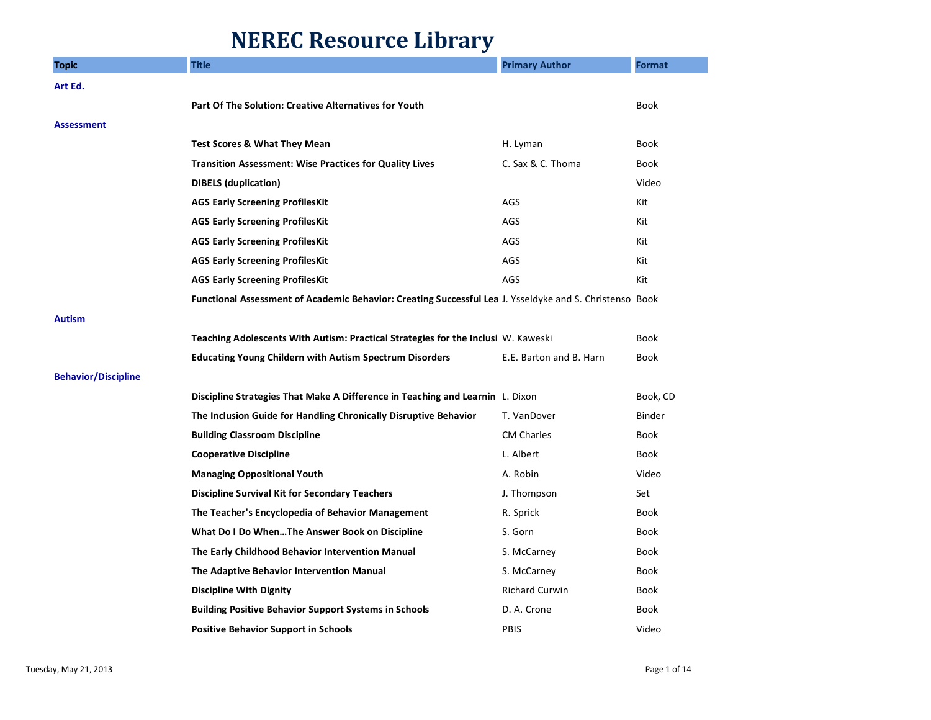## **NEREC Resource Library**

| <b>Topic</b>               | <b>Title</b>                                                                                            | <b>Primary Author</b>   | <b>Format</b> |
|----------------------------|---------------------------------------------------------------------------------------------------------|-------------------------|---------------|
| Art Ed.                    |                                                                                                         |                         |               |
|                            | Part Of The Solution: Creative Alternatives for Youth                                                   |                         | <b>Book</b>   |
| Assessment                 |                                                                                                         |                         |               |
|                            | <b>Test Scores &amp; What They Mean</b>                                                                 | H. Lyman                | <b>Book</b>   |
|                            | <b>Transition Assessment: Wise Practices for Quality Lives</b>                                          | C. Sax & C. Thoma       | Book          |
|                            | <b>DIBELS</b> (duplication)                                                                             |                         | Video         |
|                            | <b>AGS Early Screening ProfilesKit</b>                                                                  | AGS                     | Kit           |
|                            | <b>AGS Early Screening ProfilesKit</b>                                                                  | AGS                     | Kit           |
|                            | <b>AGS Early Screening ProfilesKit</b>                                                                  | <b>AGS</b>              | Kit           |
|                            | <b>AGS Early Screening ProfilesKit</b>                                                                  | AGS                     | Kit           |
|                            | <b>AGS Early Screening ProfilesKit</b>                                                                  | AGS                     | Kit           |
|                            | Functional Assessment of Academic Behavior: Creating Successful Lea J. Ysseldyke and S. Christenso Book |                         |               |
| Autism                     |                                                                                                         |                         |               |
|                            | <b>Teaching Adolescents With Autism: Practical Strategies for the Inclusi</b> W. Kaweski                |                         | <b>Book</b>   |
|                            | <b>Educating Young Childern with Autism Spectrum Disorders</b>                                          | E.E. Barton and B. Harn | <b>Book</b>   |
| <b>Behavior/Discipline</b> |                                                                                                         |                         |               |
|                            | Discipline Strategies That Make A Difference in Teaching and Learnin L. Dixon                           |                         | Book, CD      |
|                            | The Inclusion Guide for Handling Chronically Disruptive Behavior                                        | T. VanDover             | <b>Binder</b> |
|                            | <b>Building Classroom Discipline</b>                                                                    | <b>CM Charles</b>       | <b>Book</b>   |
|                            | <b>Cooperative Discipline</b>                                                                           | L. Albert               | <b>Book</b>   |
|                            | <b>Managing Oppositional Youth</b>                                                                      | A. Robin                | Video         |
|                            | <b>Discipline Survival Kit for Secondary Teachers</b>                                                   | J. Thompson             | Set           |
|                            | The Teacher's Encyclopedia of Behavior Management                                                       | R. Sprick               | <b>Book</b>   |
|                            | What Do I Do WhenThe Answer Book on Discipline                                                          | S. Gorn                 | <b>Book</b>   |
|                            | The Early Childhood Behavior Intervention Manual                                                        | S. McCarney             | <b>Book</b>   |
|                            | The Adaptive Behavior Intervention Manual                                                               | S. McCarney             | <b>Book</b>   |
|                            | <b>Discipline With Dignity</b>                                                                          | <b>Richard Curwin</b>   | <b>Book</b>   |
|                            | <b>Building Positive Behavior Support Systems in Schools</b>                                            | D. A. Crone             | <b>Book</b>   |
|                            | <b>Positive Behavior Support in Schools</b>                                                             | PBIS                    | Video         |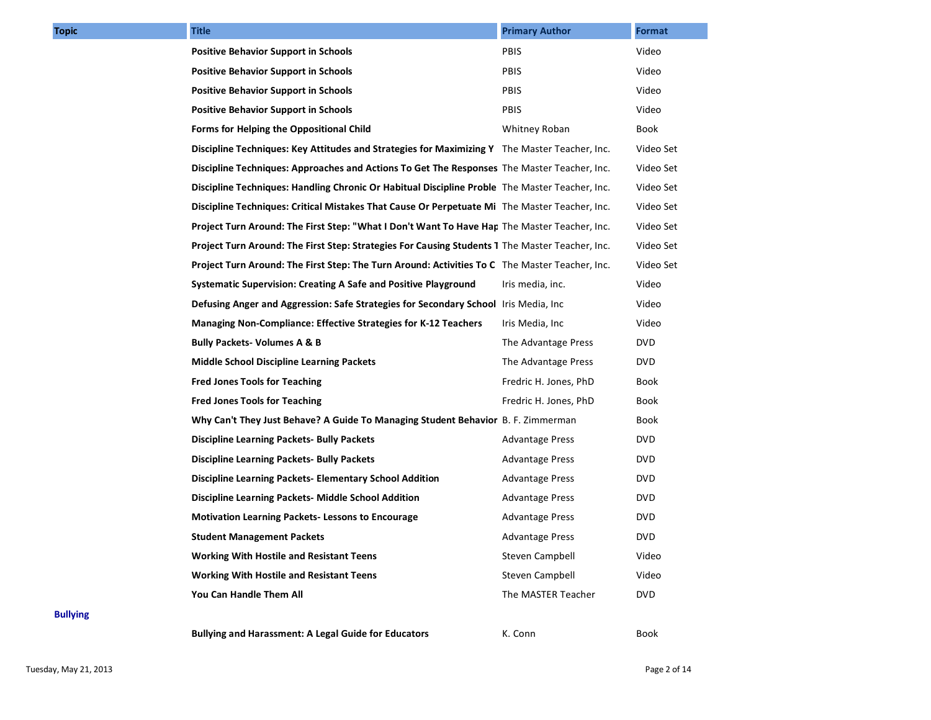| Topic           | <b>Title</b>                                                                                    | <b>Primary Author</b>  | Format      |
|-----------------|-------------------------------------------------------------------------------------------------|------------------------|-------------|
|                 | <b>Positive Behavior Support in Schools</b>                                                     | PBIS                   | Video       |
|                 | <b>Positive Behavior Support in Schools</b>                                                     | PBIS                   | Video       |
|                 | <b>Positive Behavior Support in Schools</b>                                                     | PBIS                   | Video       |
|                 | <b>Positive Behavior Support in Schools</b>                                                     | PBIS                   | Video       |
|                 | Forms for Helping the Oppositional Child                                                        | Whitney Roban          | Book        |
|                 | Discipline Techniques: Key Attitudes and Strategies for Maximizing Y The Master Teacher, Inc.   |                        | Video Set   |
|                 | Discipline Techniques: Approaches and Actions To Get The Responses The Master Teacher, Inc.     |                        | Video Set   |
|                 | Discipline Techniques: Handling Chronic Or Habitual Discipline Proble The Master Teacher, Inc.  |                        | Video Set   |
|                 | Discipline Techniques: Critical Mistakes That Cause Or Perpetuate Mi The Master Teacher, Inc.   |                        | Video Set   |
|                 | Project Turn Around: The First Step: "What I Don't Want To Have Hap The Master Teacher, Inc.    |                        | Video Set   |
|                 | Project Turn Around: The First Step: Strategies For Causing Students 1 The Master Teacher, Inc. |                        | Video Set   |
|                 | Project Turn Around: The First Step: The Turn Around: Activities To C The Master Teacher, Inc.  |                        | Video Set   |
|                 | <b>Systematic Supervision: Creating A Safe and Positive Playground</b>                          | Iris media, inc.       | Video       |
|                 | <b>Defusing Anger and Aggression: Safe Strategies for Secondary School</b> Iris Media, Inc      |                        | Video       |
|                 | <b>Managing Non-Compliance: Effective Strategies for K-12 Teachers</b>                          | Iris Media, Inc        | Video       |
|                 | <b>Bully Packets- Volumes A &amp; B</b>                                                         | The Advantage Press    | <b>DVD</b>  |
|                 | <b>Middle School Discipline Learning Packets</b>                                                | The Advantage Press    | DV D        |
|                 | <b>Fred Jones Tools for Teaching</b>                                                            | Fredric H. Jones, PhD  | Book        |
|                 | <b>Fred Jones Tools for Teaching</b>                                                            | Fredric H. Jones, PhD  | Book        |
|                 | Why Can't They Just Behave? A Guide To Managing Student Behavior B. F. Zimmerman                |                        | <b>Book</b> |
|                 | <b>Discipline Learning Packets- Bully Packets</b>                                               | <b>Advantage Press</b> | <b>DVD</b>  |
|                 | <b>Discipline Learning Packets- Bully Packets</b>                                               | <b>Advantage Press</b> | DV D        |
|                 | Discipline Learning Packets- Elementary School Addition                                         | <b>Advantage Press</b> | DV D        |
|                 | Discipline Learning Packets- Middle School Addition                                             | <b>Advantage Press</b> | <b>DVD</b>  |
|                 | <b>Motivation Learning Packets-Lessons to Encourage</b>                                         | <b>Advantage Press</b> | <b>DVD</b>  |
|                 | <b>Student Management Packets</b>                                                               | <b>Advantage Press</b> | <b>DVD</b>  |
|                 | <b>Working With Hostile and Resistant Teens</b>                                                 | Steven Campbell        | Video       |
|                 | <b>Working With Hostile and Resistant Teens</b>                                                 | Steven Campbell        | Video       |
|                 | You Can Handle Them All                                                                         | The MASTER Teacher     | <b>DVD</b>  |
| <b>Bullying</b> |                                                                                                 |                        |             |
|                 |                                                                                                 |                        |             |

**Bullying**

**Bullying and Harassment: A Legal Guide for Educators The Connumity Report Report Report Report Report Report Report Report Report Report Report Report Report Report Report Report Report Report Report Report Report Report** 

Tuesday, May 21, 2013 **Page 2 of 14** Page 2 of 14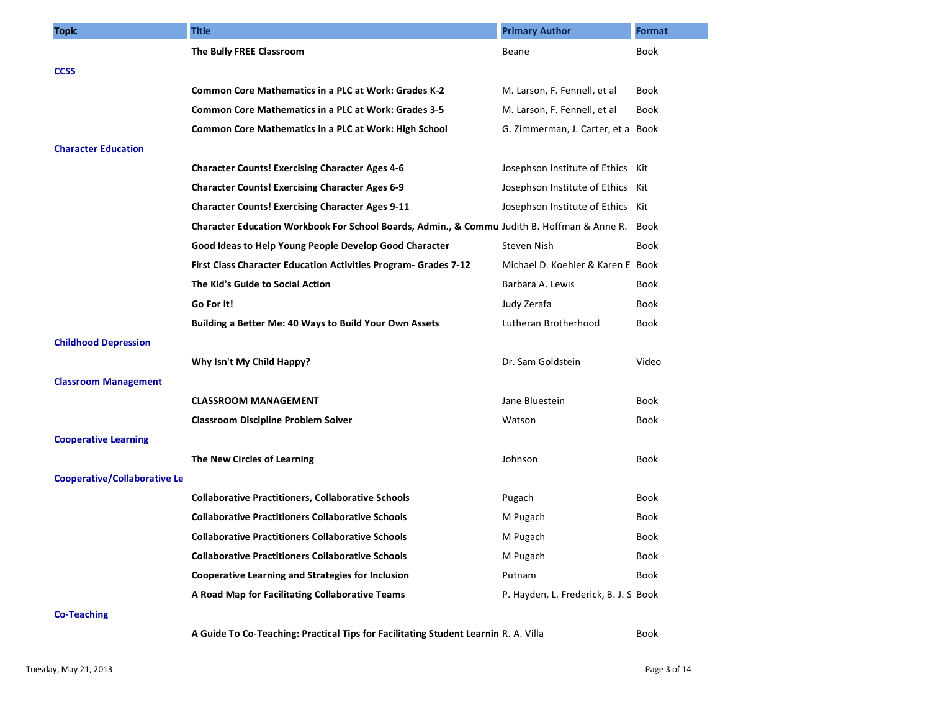| <b>Topic</b>                        | <b>Title</b>                                                                                     | <b>Primary Author</b>                 | Format      |
|-------------------------------------|--------------------------------------------------------------------------------------------------|---------------------------------------|-------------|
|                                     | The Bully FREE Classroom                                                                         | Beane                                 | Book        |
| <b>CCSS</b>                         |                                                                                                  |                                       |             |
|                                     | <b>Common Core Mathematics in a PLC at Work: Grades K-2</b>                                      | M. Larson, F. Fennell, et al          | Book        |
|                                     | <b>Common Core Mathematics in a PLC at Work: Grades 3-5</b>                                      | M. Larson, F. Fennell, et al          | Book        |
|                                     | Common Core Mathematics in a PLC at Work: High School                                            | G. Zimmerman, J. Carter, et a Book    |             |
| <b>Character Education</b>          |                                                                                                  |                                       |             |
|                                     | <b>Character Counts! Exercising Character Ages 4-6</b>                                           | Josephson Institute of Ethics Kit     |             |
|                                     | <b>Character Counts! Exercising Character Ages 6-9</b>                                           | Josephson Institute of Ethics Kit     |             |
|                                     | <b>Character Counts! Exercising Character Ages 9-11</b>                                          | Josephson Institute of Ethics Kit     |             |
|                                     | Character Education Workbook For School Boards, Admin., & Commu Judith B. Hoffman & Anne R. Book |                                       |             |
|                                     | Good Ideas to Help Young People Develop Good Character                                           | Steven Nish                           | Book        |
|                                     | First Class Character Education Activities Program- Grades 7-12                                  | Michael D. Koehler & Karen E Book     |             |
|                                     | The Kid's Guide to Social Action                                                                 | Barbara A. Lewis                      | <b>Book</b> |
|                                     | Go For It!                                                                                       | Judy Zerafa                           | Book        |
|                                     | Building a Better Me: 40 Ways to Build Your Own Assets                                           | Lutheran Brotherhood                  | Book        |
| <b>Childhood Depression</b>         |                                                                                                  |                                       |             |
|                                     | Why Isn't My Child Happy?                                                                        | Dr. Sam Goldstein                     | Video       |
| <b>Classroom Management</b>         |                                                                                                  |                                       |             |
|                                     | <b>CLASSROOM MANAGEMENT</b>                                                                      | Jane Bluestein                        | Book        |
|                                     | <b>Classroom Discipline Problem Solver</b>                                                       | Watson                                | Book        |
| <b>Cooperative Learning</b>         |                                                                                                  |                                       |             |
|                                     | The New Circles of Learning                                                                      | Johnson                               | Book        |
| <b>Cooperative/Collaborative Le</b> |                                                                                                  |                                       |             |
|                                     | <b>Collaborative Practitioners, Collaborative Schools</b>                                        | Pugach                                | Book        |
|                                     | <b>Collaborative Practitioners Collaborative Schools</b>                                         | M Pugach                              | Book        |
|                                     | <b>Collaborative Practitioners Collaborative Schools</b>                                         | M Pugach                              | Book        |
|                                     | <b>Collaborative Practitioners Collaborative Schools</b>                                         | M Pugach                              | Book        |
|                                     | <b>Cooperative Learning and Strategies for Inclusion</b>                                         | Putnam                                | <b>Book</b> |
|                                     | A Road Map for Facilitating Collaborative Teams                                                  | P. Hayden, L. Frederick, B. J. S Book |             |
| <b>Co-Teaching</b>                  |                                                                                                  |                                       |             |
|                                     | A Guide To Co-Teaching: Practical Tips for Facilitating Student Learnin R. A. Villa              |                                       | Book        |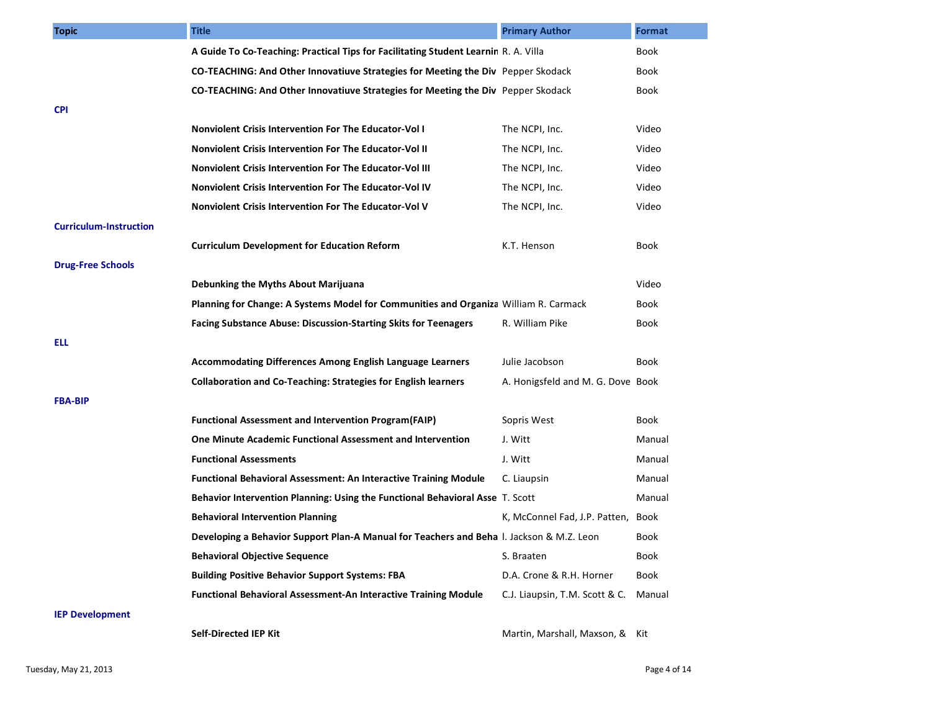| <b>Topic</b>                  | <b>Title</b>                                                                             | <b>Primary Author</b>             | <b>Format</b> |
|-------------------------------|------------------------------------------------------------------------------------------|-----------------------------------|---------------|
|                               | A Guide To Co-Teaching: Practical Tips for Facilitating Student Learnin R. A. Villa      |                                   | Book          |
|                               | <b>CO-TEACHING: And Other Innovatiuve Strategies for Meeting the Div</b> Pepper Skodack  |                                   | Book          |
|                               | CO-TEACHING: And Other Innovatiuve Strategies for Meeting the Div Pepper Skodack         |                                   | Book          |
| <b>CPI</b>                    |                                                                                          |                                   |               |
|                               | <b>Nonviolent Crisis Intervention For The Educator-Vol I</b>                             | The NCPI, Inc.                    | Video         |
|                               | Nonviolent Crisis Intervention For The Educator-Vol II                                   | The NCPI, Inc.                    | Video         |
|                               | <b>Nonviolent Crisis Intervention For The Educator-Vol III</b>                           | The NCPI, Inc.                    | Video         |
|                               | Nonviolent Crisis Intervention For The Educator-Vol IV                                   | The NCPI, Inc.                    | Video         |
|                               | Nonviolent Crisis Intervention For The Educator-Vol V                                    | The NCPI, Inc.                    | Video         |
| <b>Curriculum-Instruction</b> |                                                                                          |                                   |               |
|                               | <b>Curriculum Development for Education Reform</b>                                       | K.T. Henson                       | Book          |
| <b>Drug-Free Schools</b>      |                                                                                          |                                   |               |
|                               | Debunking the Myths About Marijuana                                                      |                                   | Video         |
|                               | Planning for Change: A Systems Model for Communities and Organiza William R. Carmack     |                                   | Book          |
|                               | <b>Facing Substance Abuse: Discussion-Starting Skits for Teenagers</b>                   | R. William Pike                   | Book          |
| ELL                           |                                                                                          |                                   |               |
|                               | <b>Accommodating Differences Among English Language Learners</b>                         | Julie Jacobson                    | Book          |
|                               | <b>Collaboration and Co-Teaching: Strategies for English learners</b>                    | A. Honigsfeld and M. G. Dove Book |               |
| <b>FBA-BIP</b>                |                                                                                          |                                   |               |
|                               | <b>Functional Assessment and Intervention Program(FAIP)</b>                              | Sopris West                       | Book          |
|                               | <b>One Minute Academic Functional Assessment and Intervention</b>                        | J. Witt                           | Manual        |
|                               | <b>Functional Assessments</b>                                                            | J. Witt                           | Manual        |
|                               | <b>Functional Behavioral Assessment: An Interactive Training Module</b>                  | C. Liaupsin                       | Manual        |
|                               | Behavior Intervention Planning: Using the Functional Behavioral Asse T. Scott            |                                   | Manual        |
|                               | <b>Behavioral Intervention Planning</b>                                                  | K, McConnel Fad, J.P. Patten,     | Book          |
|                               | Developing a Behavior Support Plan-A Manual for Teachers and Beha I. Jackson & M.Z. Leon |                                   | Book          |
|                               | <b>Behavioral Objective Sequence</b>                                                     | S. Braaten                        | Book          |
|                               | <b>Building Positive Behavior Support Systems: FBA</b>                                   | D.A. Crone & R.H. Horner          | Book          |
|                               | <b>Functional Behavioral Assessment-An Interactive Training Module</b>                   | C.J. Liaupsin, T.M. Scott & C.    | Manual        |
| <b>IEP Development</b>        |                                                                                          |                                   |               |
|                               | Self-Directed IEP Kit                                                                    | Martin, Marshall, Maxson, & Kit   |               |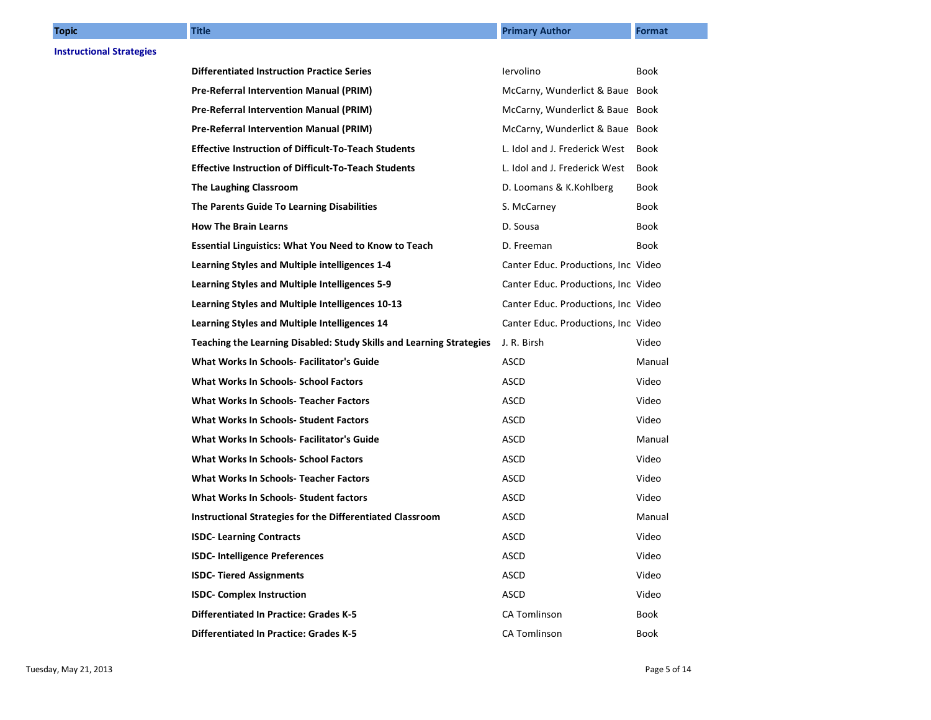| <b>Topic</b>                    | <b>Title</b>                                                         | <b>Primary Author</b>               | Format      |
|---------------------------------|----------------------------------------------------------------------|-------------------------------------|-------------|
| <b>Instructional Strategies</b> |                                                                      |                                     |             |
|                                 | <b>Differentiated Instruction Practice Series</b>                    | lervolino                           | Book        |
|                                 | Pre-Referral Intervention Manual (PRIM)                              | McCarny, Wunderlict & Baue Book     |             |
|                                 | <b>Pre-Referral Intervention Manual (PRIM)</b>                       | McCarny, Wunderlict & Baue Book     |             |
|                                 | <b>Pre-Referral Intervention Manual (PRIM)</b>                       | McCarny, Wunderlict & Baue Book     |             |
|                                 | <b>Effective Instruction of Difficult-To-Teach Students</b>          | L. Idol and J. Frederick West       | Book        |
|                                 | <b>Effective Instruction of Difficult-To-Teach Students</b>          | L. Idol and J. Frederick West       | <b>Book</b> |
|                                 | The Laughing Classroom                                               | D. Loomans & K.Kohlberg             | Book        |
|                                 | The Parents Guide To Learning Disabilities                           | S. McCarney                         | Book        |
|                                 | <b>How The Brain Learns</b>                                          | D. Sousa                            | Book        |
|                                 | <b>Essential Linguistics: What You Need to Know to Teach</b>         | D. Freeman                          | Book        |
|                                 | Learning Styles and Multiple intelligences 1-4                       | Canter Educ. Productions, Inc Video |             |
|                                 | Learning Styles and Multiple Intelligences 5-9                       | Canter Educ. Productions, Inc Video |             |
|                                 | Learning Styles and Multiple Intelligences 10-13                     | Canter Educ. Productions, Inc Video |             |
|                                 | Learning Styles and Multiple Intelligences 14                        | Canter Educ. Productions, Inc Video |             |
|                                 | Teaching the Learning Disabled: Study Skills and Learning Strategies | J. R. Birsh                         | Video       |
|                                 | <b>What Works In Schools- Facilitator's Guide</b>                    | <b>ASCD</b>                         | Manual      |
|                                 | <b>What Works In Schools- School Factors</b>                         | ASCD                                | Video       |
|                                 | <b>What Works In Schools- Teacher Factors</b>                        | <b>ASCD</b>                         | Video       |
|                                 | <b>What Works In Schools- Student Factors</b>                        | ASCD                                | Video       |
|                                 | What Works In Schools- Facilitator's Guide                           | <b>ASCD</b>                         | Manual      |
|                                 | <b>What Works In Schools- School Factors</b>                         | ASCD                                | Video       |
|                                 | What Works In Schools- Teacher Factors                               | <b>ASCD</b>                         | Video       |
|                                 | What Works In Schools- Student factors                               | ASCD                                | Video       |
|                                 | Instructional Strategies for the Differentiated Classroom            | ASCD                                | Manual      |
|                                 | <b>ISDC- Learning Contracts</b>                                      | ASCD                                | Video       |
|                                 | <b>ISDC- Intelligence Preferences</b>                                | <b>ASCD</b>                         | Video       |
|                                 | <b>ISDC- Tiered Assignments</b>                                      | <b>ASCD</b>                         | Video       |
|                                 | <b>ISDC- Complex Instruction</b>                                     | <b>ASCD</b>                         | Video       |
|                                 | <b>Differentiated In Practice: Grades K-5</b>                        | <b>CA Tomlinson</b>                 | Book        |
|                                 | <b>Differentiated In Practice: Grades K-5</b>                        | <b>CA Tomlinson</b>                 | Book        |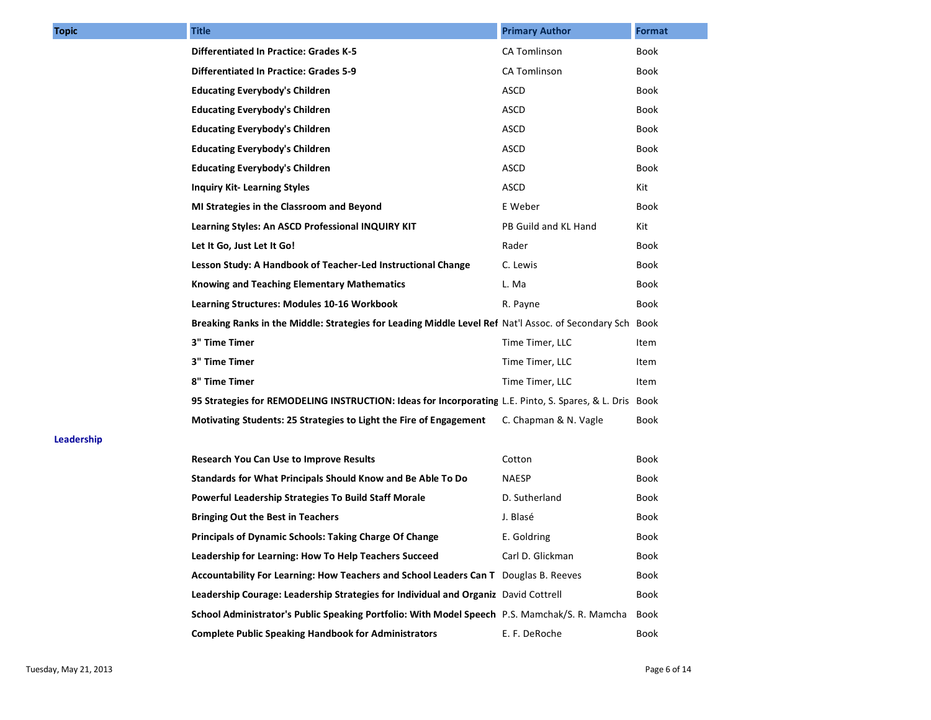| <b>Topic</b> | <b>Title</b>                                                                                             | <b>Primary Author</b> | Format |
|--------------|----------------------------------------------------------------------------------------------------------|-----------------------|--------|
|              | <b>Differentiated In Practice: Grades K-5</b>                                                            | <b>CA Tomlinson</b>   | Book   |
|              | <b>Differentiated In Practice: Grades 5-9</b>                                                            | CA Tomlinson          | Book   |
|              | <b>Educating Everybody's Children</b>                                                                    | ASCD                  | Book   |
|              | <b>Educating Everybody's Children</b>                                                                    | <b>ASCD</b>           | Book   |
|              | <b>Educating Everybody's Children</b>                                                                    | ASCD                  | Book   |
|              | <b>Educating Everybody's Children</b>                                                                    | <b>ASCD</b>           | Book   |
|              | <b>Educating Everybody's Children</b>                                                                    | <b>ASCD</b>           | Book   |
|              | <b>Inquiry Kit-Learning Styles</b>                                                                       | <b>ASCD</b>           | Kit    |
|              | MI Strategies in the Classroom and Beyond                                                                | E Weber               | Book   |
|              | Learning Styles: An ASCD Professional INQUIRY KIT                                                        | PB Guild and KL Hand  | Kit    |
|              | Let It Go, Just Let It Go!                                                                               | Rader                 | Book   |
|              | Lesson Study: A Handbook of Teacher-Led Instructional Change                                             | C. Lewis              | Book   |
|              | <b>Knowing and Teaching Elementary Mathematics</b>                                                       | L. Ma                 | Book   |
|              | Learning Structures: Modules 10-16 Workbook                                                              | R. Payne              | Book   |
|              | Breaking Ranks in the Middle: Strategies for Leading Middle Level Ref Nat'l Assoc. of Secondary Sch Book |                       |        |
|              | 3" Time Timer                                                                                            | Time Timer, LLC       | Item   |
|              | 3" Time Timer                                                                                            | Time Timer, LLC       | Item   |
|              | 8" Time Timer                                                                                            | Time Timer, LLC       | Item   |
|              | 95 Strategies for REMODELING INSTRUCTION: Ideas for Incorporating L.E. Pinto, S. Spares, & L. Dris Book  |                       |        |
|              | Motivating Students: 25 Strategies to Light the Fire of Engagement                                       | C. Chapman & N. Vagle | Book   |
| Leadership   |                                                                                                          |                       |        |
|              | <b>Research You Can Use to Improve Results</b>                                                           | Cotton                | Book   |
|              | Standards for What Principals Should Know and Be Able To Do                                              | <b>NAESP</b>          | Book   |
|              | Powerful Leadership Strategies To Build Staff Morale                                                     | D. Sutherland         | Book   |
|              | <b>Bringing Out the Best in Teachers</b>                                                                 | J. Blasé              | Book   |
|              | <b>Principals of Dynamic Schools: Taking Charge Of Change</b>                                            | E. Goldring           | Book   |
|              | Leadership for Learning: How To Help Teachers Succeed                                                    | Carl D. Glickman      | Book   |
|              | Accountability For Learning: How Teachers and School Leaders Can T Douglas B. Reeves                     |                       | Book   |
|              | Leadership Courage: Leadership Strategies for Individual and Organiz David Cottrell                      |                       | Book   |
|              | School Administrator's Public Speaking Portfolio: With Model Speech P.S. Mamchak/S. R. Mamcha            |                       | Book   |
|              | <b>Complete Public Speaking Handbook for Administrators</b>                                              | E. F. DeRoche         | Book   |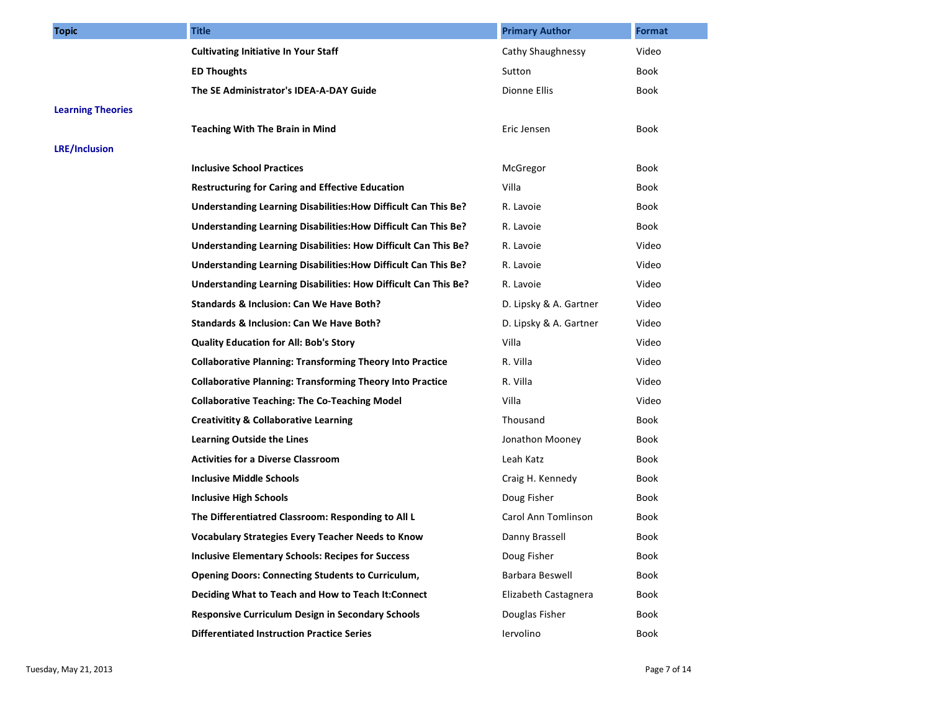| <b>Topic</b>             | <b>Title</b>                                                     | <b>Primary Author</b>  | Format |
|--------------------------|------------------------------------------------------------------|------------------------|--------|
|                          | <b>Cultivating Initiative In Your Staff</b>                      | Cathy Shaughnessy      | Video  |
|                          | <b>ED Thoughts</b>                                               | Sutton                 | Book   |
|                          | The SE Administrator's IDEA-A-DAY Guide                          | Dionne Ellis           | Book   |
| <b>Learning Theories</b> |                                                                  |                        |        |
|                          | <b>Teaching With The Brain in Mind</b>                           | Eric Jensen            | Book   |
| <b>LRE/Inclusion</b>     |                                                                  |                        |        |
|                          | <b>Inclusive School Practices</b>                                | McGregor               | Book   |
|                          | <b>Restructuring for Caring and Effective Education</b>          | Villa                  | Book   |
|                          | Understanding Learning Disabilities: How Difficult Can This Be?  | R. Lavoie              | Book   |
|                          | Understanding Learning Disabilities: How Difficult Can This Be?  | R. Lavoie              | Book   |
|                          | Understanding Learning Disabilities: How Difficult Can This Be?  | R. Lavoie              | Video  |
|                          | Understanding Learning Disabilities: How Difficult Can This Be?  | R. Lavoie              | Video  |
|                          | Understanding Learning Disabilities: How Difficult Can This Be?  | R. Lavoie              | Video  |
|                          | Standards & Inclusion: Can We Have Both?                         | D. Lipsky & A. Gartner | Video  |
|                          | Standards & Inclusion: Can We Have Both?                         | D. Lipsky & A. Gartner | Video  |
|                          | <b>Quality Education for All: Bob's Story</b>                    | Villa                  | Video  |
|                          | <b>Collaborative Planning: Transforming Theory Into Practice</b> | R. Villa               | Video  |
|                          | <b>Collaborative Planning: Transforming Theory Into Practice</b> | R. Villa               | Video  |
|                          | <b>Collaborative Teaching: The Co-Teaching Model</b>             | Villa                  | Video  |
|                          | <b>Creativitity &amp; Collaborative Learning</b>                 | Thousand               | Book   |
|                          | <b>Learning Outside the Lines</b>                                | Jonathon Mooney        | Book   |
|                          | <b>Activities for a Diverse Classroom</b>                        | Leah Katz              | Book   |
|                          | <b>Inclusive Middle Schools</b>                                  | Craig H. Kennedy       | Book   |
|                          | <b>Inclusive High Schools</b>                                    | Doug Fisher            | Book   |
|                          | The Differentiatred Classroom: Responding to All L               | Carol Ann Tomlinson    | Book   |
|                          | <b>Vocabulary Strategies Every Teacher Needs to Know</b>         | Danny Brassell         | Book   |
|                          | <b>Inclusive Elementary Schools: Recipes for Success</b>         | Doug Fisher            | Book   |
|                          | <b>Opening Doors: Connecting Students to Curriculum,</b>         | <b>Barbara Beswell</b> | Book   |
|                          | Deciding What to Teach and How to Teach It: Connect              | Elizabeth Castagnera   | Book   |
|                          | <b>Responsive Curriculum Design in Secondary Schools</b>         | Douglas Fisher         | Book   |
|                          | <b>Differentiated Instruction Practice Series</b>                | lervolino              | Book   |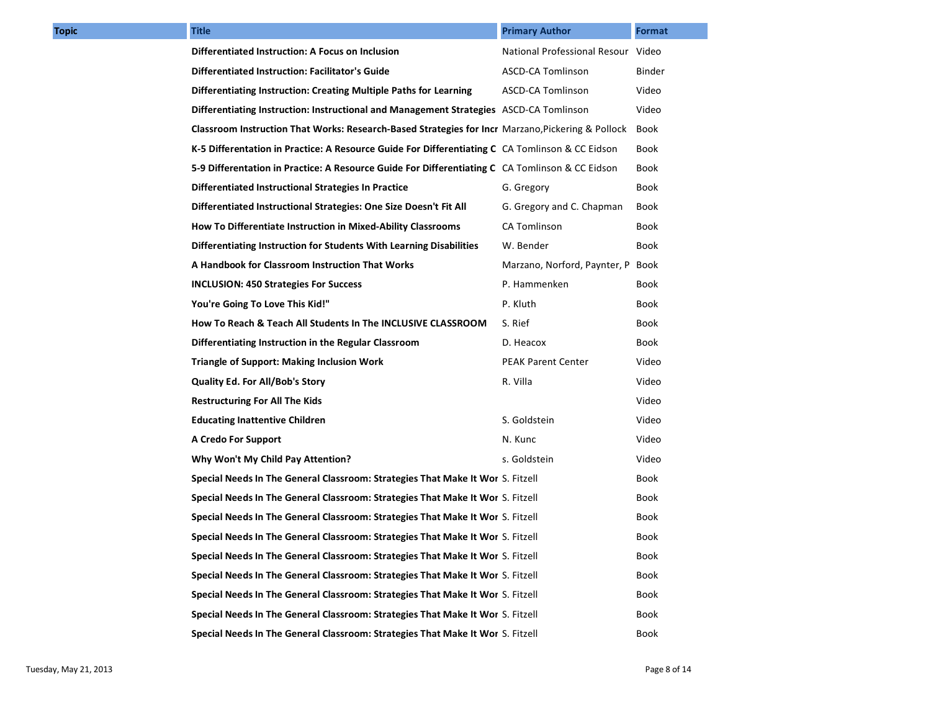| <b>Topic</b> | <b>Title</b>                                                                                      | <b>Primary Author</b>              | Format |
|--------------|---------------------------------------------------------------------------------------------------|------------------------------------|--------|
|              | Differentiated Instruction: A Focus on Inclusion                                                  | National Professional Resour Video |        |
|              | <b>Differentiated Instruction: Facilitator's Guide</b>                                            | ASCD-CA Tomlinson                  | Binder |
|              | Differentiating Instruction: Creating Multiple Paths for Learning                                 | ASCD-CA Tomlinson                  | Video  |
|              | Differentiating Instruction: Instructional and Management Strategies ASCD-CA Tomlinson            |                                    | Video  |
|              | Classroom Instruction That Works: Research-Based Strategies for Incr Marzano, Pickering & Pollock |                                    | Book   |
|              | K-5 Differentation in Practice: A Resource Guide For Differentiating C CA Tomlinson & CC Eidson   |                                    | Book   |
|              | 5-9 Differentation in Practice: A Resource Guide For Differentiating C CA Tomlinson & CC Eidson   |                                    | Book   |
|              | Differentiated Instructional Strategies In Practice                                               | G. Gregory                         | Book   |
|              | Differentiated Instructional Strategies: One Size Doesn't Fit All                                 | G. Gregory and C. Chapman          | Book   |
|              | How To Differentiate Instruction in Mixed-Ability Classrooms                                      | CA Tomlinson                       | Book   |
|              | Differentiating Instruction for Students With Learning Disabilities                               | W. Bender                          | Book   |
|              | A Handbook for Classroom Instruction That Works                                                   | Marzano, Norford, Paynter, P Book  |        |
|              | <b>INCLUSION: 450 Strategies For Success</b>                                                      | P. Hammenken                       | Book   |
|              | You're Going To Love This Kid!"                                                                   | P. Kluth                           | Book   |
|              | How To Reach & Teach All Students In The INCLUSIVE CLASSROOM                                      | S. Rief                            | Book   |
|              | Differentiating Instruction in the Regular Classroom                                              | D. Heacox                          | Book   |
|              | <b>Triangle of Support: Making Inclusion Work</b>                                                 | <b>PEAK Parent Center</b>          | Video  |
|              | <b>Quality Ed. For All/Bob's Story</b>                                                            | R. Villa                           | Video  |
|              | <b>Restructuring For All The Kids</b>                                                             |                                    | Video  |
|              | <b>Educating Inattentive Children</b>                                                             | S. Goldstein                       | Video  |
|              | A Credo For Support                                                                               | N. Kunc                            | Video  |
|              | Why Won't My Child Pay Attention?                                                                 | s. Goldstein                       | Video  |
|              | Special Needs In The General Classroom: Strategies That Make It Wor S. Fitzell                    |                                    | Book   |
|              | Special Needs In The General Classroom: Strategies That Make It Wor S. Fitzell                    |                                    | Book   |
|              | Special Needs In The General Classroom: Strategies That Make It Wor S. Fitzell                    |                                    | Book   |
|              | Special Needs In The General Classroom: Strategies That Make It Wor S. Fitzell                    |                                    | Book   |
|              | Special Needs In The General Classroom: Strategies That Make It Wor S. Fitzell                    |                                    | Book   |
|              | Special Needs In The General Classroom: Strategies That Make It Wor S. Fitzell                    |                                    | Book   |
|              | Special Needs In The General Classroom: Strategies That Make It Wor S. Fitzell                    |                                    | Book   |
|              | Special Needs In The General Classroom: Strategies That Make It Wor S. Fitzell                    |                                    | Book   |
|              | Special Needs In The General Classroom: Strategies That Make It Wor S. Fitzell                    |                                    | Book   |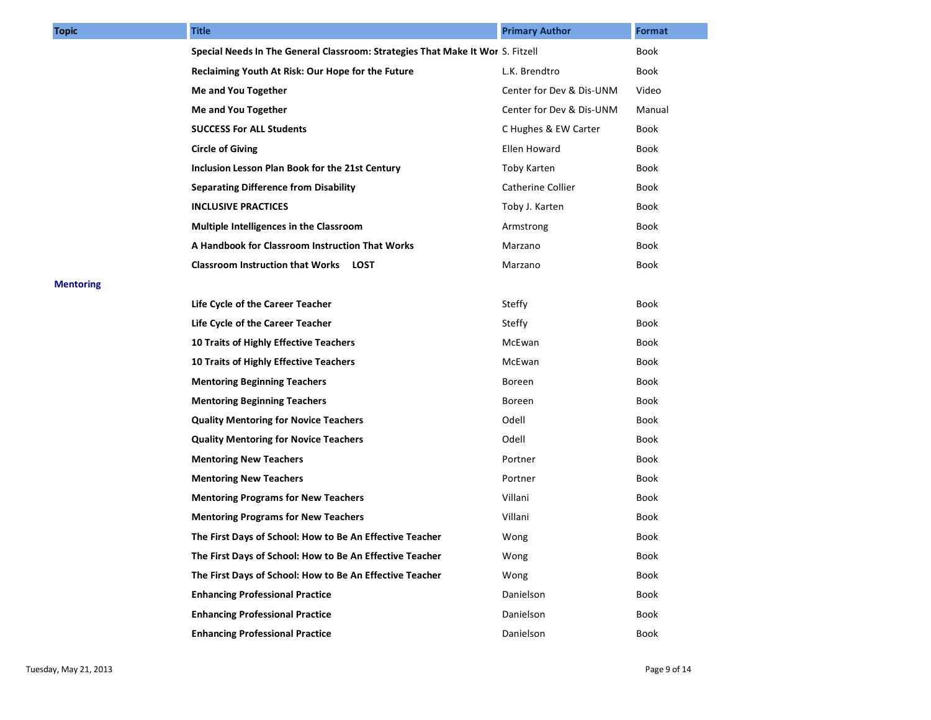| <b>Topic</b>     | <b>Title</b>                                                                   | <b>Primary Author</b>    | <b>Format</b> |
|------------------|--------------------------------------------------------------------------------|--------------------------|---------------|
|                  | Special Needs In The General Classroom: Strategies That Make It Wor S. Fitzell |                          | Book          |
|                  | Reclaiming Youth At Risk: Our Hope for the Future                              | L.K. Brendtro            | Book          |
|                  | Me and You Together                                                            | Center for Dev & Dis-UNM | Video         |
|                  | Me and You Together                                                            | Center for Dev & Dis-UNM | Manual        |
|                  | <b>SUCCESS For ALL Students</b>                                                | C Hughes & EW Carter     | Book          |
|                  | <b>Circle of Giving</b>                                                        | Ellen Howard             | Book          |
|                  | Inclusion Lesson Plan Book for the 21st Century                                | Toby Karten              | Book          |
|                  | <b>Separating Difference from Disability</b>                                   | <b>Catherine Collier</b> | Book          |
|                  | <b>INCLUSIVE PRACTICES</b>                                                     | Toby J. Karten           | Book          |
|                  | Multiple Intelligences in the Classroom                                        | Armstrong                | Book          |
|                  | A Handbook for Classroom Instruction That Works                                | Marzano                  | Book          |
|                  | <b>Classroom Instruction that Works LOST</b>                                   | Marzano                  | Book          |
| <b>Mentoring</b> |                                                                                |                          |               |
|                  | Life Cycle of the Career Teacher                                               | Steffy                   | Book          |
|                  | Life Cycle of the Career Teacher                                               | Steffy                   | Book          |
|                  | 10 Traits of Highly Effective Teachers                                         | McEwan                   | Book          |
|                  | 10 Traits of Highly Effective Teachers                                         | McEwan                   | Book          |
|                  | <b>Mentoring Beginning Teachers</b>                                            | Boreen                   | Book          |
|                  | <b>Mentoring Beginning Teachers</b>                                            | Boreen                   | Book          |
|                  | <b>Quality Mentoring for Novice Teachers</b>                                   | Odell                    | Book          |
|                  | <b>Quality Mentoring for Novice Teachers</b>                                   | Odell                    | Book          |
|                  | <b>Mentoring New Teachers</b>                                                  | Portner                  | Book          |
|                  | <b>Mentoring New Teachers</b>                                                  | Portner                  | Book          |
|                  | <b>Mentoring Programs for New Teachers</b>                                     | Villani                  | Book          |
|                  | <b>Mentoring Programs for New Teachers</b>                                     | Villani                  | Book          |
|                  | The First Days of School: How to Be An Effective Teacher                       | Wong                     | Book          |
|                  | The First Days of School: How to Be An Effective Teacher                       | Wong                     | Book          |
|                  | The First Days of School: How to Be An Effective Teacher                       | Wong                     | <b>Book</b>   |
|                  | <b>Enhancing Professional Practice</b>                                         | Danielson                | Book          |
|                  | <b>Enhancing Professional Practice</b>                                         | Danielson                | Book          |
|                  | <b>Enhancing Professional Practice</b>                                         | Danielson                | Book          |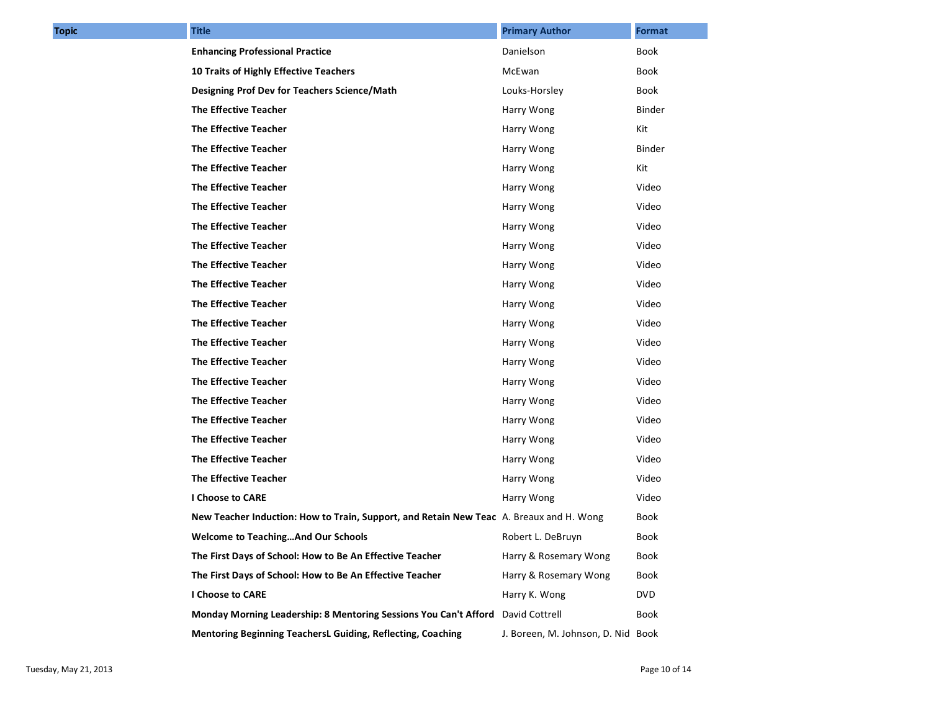| <b>Topic</b> | <b>Title</b>                                                                            | <b>Primary Author</b>              | Format     |
|--------------|-----------------------------------------------------------------------------------------|------------------------------------|------------|
|              | <b>Enhancing Professional Practice</b>                                                  | Danielson                          | Book       |
|              | 10 Traits of Highly Effective Teachers                                                  | McEwan                             | Book       |
|              | Designing Prof Dev for Teachers Science/Math                                            | Louks-Horsley                      | Book       |
|              | <b>The Effective Teacher</b>                                                            | Harry Wong                         | Binder     |
|              | The Effective Teacher                                                                   | Harry Wong                         | Kit        |
|              | <b>The Effective Teacher</b>                                                            | Harry Wong                         | Binder     |
|              | <b>The Effective Teacher</b>                                                            | Harry Wong                         | Kit        |
|              | <b>The Effective Teacher</b>                                                            | Harry Wong                         | Video      |
|              | <b>The Effective Teacher</b>                                                            | Harry Wong                         | Video      |
|              | <b>The Effective Teacher</b>                                                            | Harry Wong                         | Video      |
|              | <b>The Effective Teacher</b>                                                            | Harry Wong                         | Video      |
|              | <b>The Effective Teacher</b>                                                            | Harry Wong                         | Video      |
|              | The Effective Teacher                                                                   | Harry Wong                         | Video      |
|              | <b>The Effective Teacher</b>                                                            | Harry Wong                         | Video      |
|              | <b>The Effective Teacher</b>                                                            | Harry Wong                         | Video      |
|              | <b>The Effective Teacher</b>                                                            | Harry Wong                         | Video      |
|              | The Effective Teacher                                                                   | Harry Wong                         | Video      |
|              | <b>The Effective Teacher</b>                                                            | Harry Wong                         | Video      |
|              | <b>The Effective Teacher</b>                                                            | Harry Wong                         | Video      |
|              | The Effective Teacher                                                                   | Harry Wong                         | Video      |
|              | The Effective Teacher                                                                   | Harry Wong                         | Video      |
|              | <b>The Effective Teacher</b>                                                            | Harry Wong                         | Video      |
|              | <b>The Effective Teacher</b>                                                            | Harry Wong                         | Video      |
|              | I Choose to CARE                                                                        | Harry Wong                         | Video      |
|              | New Teacher Induction: How to Train, Support, and Retain New Teac A. Breaux and H. Wong |                                    | Book       |
|              | <b>Welcome to TeachingAnd Our Schools</b>                                               | Robert L. DeBruyn                  | Book       |
|              | The First Days of School: How to Be An Effective Teacher                                | Harry & Rosemary Wong              | Book       |
|              | The First Days of School: How to Be An Effective Teacher                                | Harry & Rosemary Wong              | Book       |
|              | I Choose to CARE                                                                        | Harry K. Wong                      | <b>DVD</b> |
|              | Monday Morning Leadership: 8 Mentoring Sessions You Can't Afford David Cottrell         |                                    | Book       |
|              | Mentoring Beginning TeachersL Guiding, Reflecting, Coaching                             | J. Boreen, M. Johnson, D. Nid Book |            |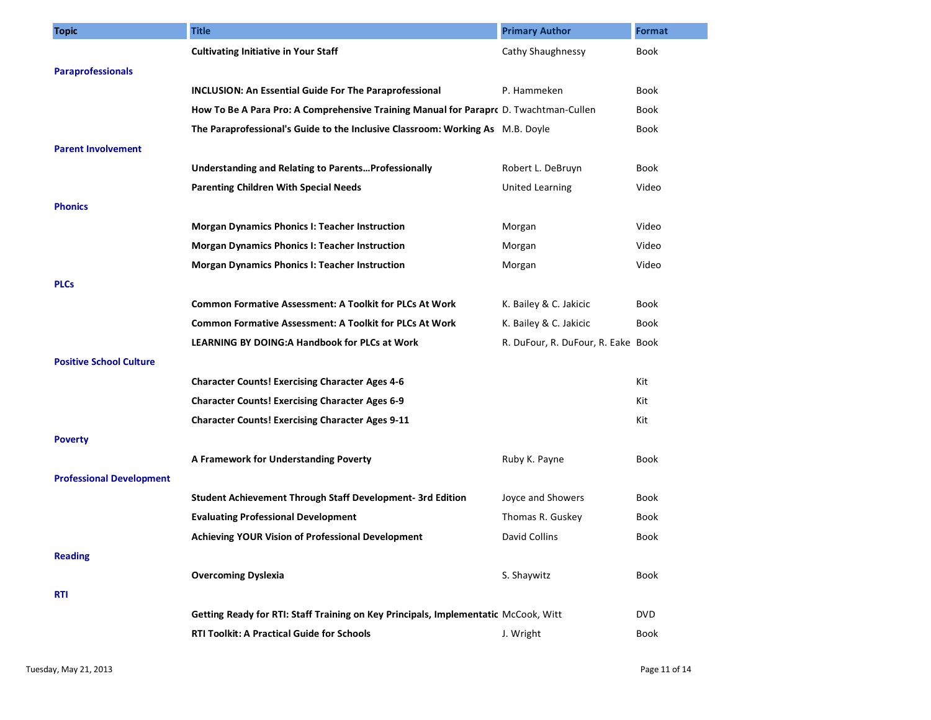| <b>Topic</b>                    | <b>Title</b>                                                                          | <b>Primary Author</b>              | <b>Format</b> |
|---------------------------------|---------------------------------------------------------------------------------------|------------------------------------|---------------|
|                                 | <b>Cultivating Initiative in Your Staff</b>                                           | Cathy Shaughnessy                  | <b>Book</b>   |
| <b>Paraprofessionals</b>        |                                                                                       |                                    |               |
|                                 | <b>INCLUSION: An Essential Guide For The Paraprofessional</b>                         | P. Hammeken                        | Book          |
|                                 | How To Be A Para Pro: A Comprehensive Training Manual for Parapro D. Twachtman-Cullen |                                    | Book          |
|                                 | The Paraprofessional's Guide to the Inclusive Classroom: Working As M.B. Doyle        |                                    | Book          |
| <b>Parent Involvement</b>       |                                                                                       |                                    |               |
|                                 | Understanding and Relating to ParentsProfessionally                                   | Robert L. DeBruyn                  | Book          |
|                                 | <b>Parenting Children With Special Needs</b>                                          | <b>United Learning</b>             | Video         |
| <b>Phonics</b>                  |                                                                                       |                                    |               |
|                                 | <b>Morgan Dynamics Phonics I: Teacher Instruction</b>                                 | Morgan                             | Video         |
|                                 | <b>Morgan Dynamics Phonics I: Teacher Instruction</b>                                 | Morgan                             | Video         |
|                                 | <b>Morgan Dynamics Phonics I: Teacher Instruction</b>                                 | Morgan                             | Video         |
| <b>PLCs</b>                     |                                                                                       |                                    |               |
|                                 | <b>Common Formative Assessment: A Toolkit for PLCs At Work</b>                        | K. Bailey & C. Jakicic             | Book          |
|                                 | <b>Common Formative Assessment: A Toolkit for PLCs At Work</b>                        | K. Bailey & C. Jakicic             | Book          |
|                                 | <b>LEARNING BY DOING:A Handbook for PLCs at Work</b>                                  | R. DuFour, R. DuFour, R. Eake Book |               |
| <b>Positive School Culture</b>  |                                                                                       |                                    |               |
|                                 | <b>Character Counts! Exercising Character Ages 4-6</b>                                |                                    | Kit           |
|                                 | <b>Character Counts! Exercising Character Ages 6-9</b>                                |                                    | Kit           |
|                                 | <b>Character Counts! Exercising Character Ages 9-11</b>                               |                                    | Kit           |
| <b>Poverty</b>                  |                                                                                       |                                    |               |
|                                 | A Framework for Understanding Poverty                                                 | Ruby K. Payne                      | <b>Book</b>   |
| <b>Professional Development</b> |                                                                                       |                                    |               |
|                                 | Student Achievement Through Staff Development- 3rd Edition                            | Joyce and Showers                  | Book          |
|                                 | <b>Evaluating Professional Development</b>                                            | Thomas R. Guskey                   | Book          |
|                                 | Achieving YOUR Vision of Professional Development                                     | David Collins                      | Book          |
| <b>Reading</b>                  |                                                                                       |                                    |               |
|                                 | <b>Overcoming Dyslexia</b>                                                            | S. Shaywitz                        | Book          |
| <b>RTI</b>                      |                                                                                       |                                    |               |
|                                 | Getting Ready for RTI: Staff Training on Key Principals, Implementatic McCook, Witt   |                                    | <b>DVD</b>    |
|                                 | <b>RTI Toolkit: A Practical Guide for Schools</b>                                     | J. Wright                          | Book          |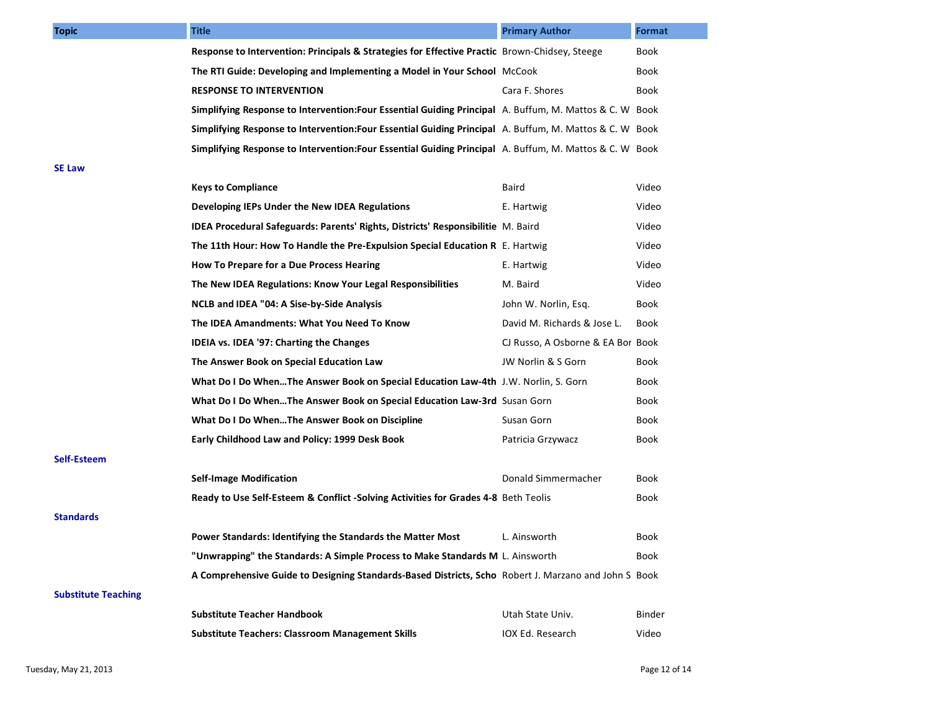| <b>Topic</b>               | <b>Title</b>                                                                                            | <b>Primary Author</b>             | <b>Format</b> |
|----------------------------|---------------------------------------------------------------------------------------------------------|-----------------------------------|---------------|
|                            | Response to Intervention: Principals & Strategies for Effective Practic Brown-Chidsey, Steege           |                                   | Book          |
|                            | The RTI Guide: Developing and Implementing a Model in Your School McCook                                |                                   | Book          |
|                            | <b>RESPONSE TO INTERVENTION</b>                                                                         | Cara F. Shores                    | Book          |
|                            | Simplifying Response to Intervention: Four Essential Guiding Principal A. Buffum, M. Mattos & C. W Book |                                   |               |
|                            | Simplifying Response to Intervention: Four Essential Guiding Principal A. Buffum, M. Mattos & C. W Book |                                   |               |
|                            | Simplifying Response to Intervention: Four Essential Guiding Principal A. Buffum, M. Mattos & C. W Book |                                   |               |
| <b>SE Law</b>              |                                                                                                         |                                   |               |
|                            | <b>Keys to Compliance</b>                                                                               | Baird                             | Video         |
|                            | Developing IEPs Under the New IDEA Regulations                                                          | E. Hartwig                        | Video         |
|                            | IDEA Procedural Safeguards: Parents' Rights, Districts' Responsibilitie M. Baird                        |                                   | Video         |
|                            | The 11th Hour: How To Handle the Pre-Expulsion Special Education R E. Hartwig                           |                                   | Video         |
|                            | How To Prepare for a Due Process Hearing                                                                | E. Hartwig                        | Video         |
|                            | The New IDEA Regulations: Know Your Legal Responsibilities                                              | M. Baird                          | Video         |
|                            | NCLB and IDEA "04: A Sise-by-Side Analysis                                                              | John W. Norlin, Esg.              | Book          |
|                            | The IDEA Amandments: What You Need To Know                                                              | David M. Richards & Jose L.       | Book          |
|                            | IDEIA vs. IDEA '97: Charting the Changes                                                                | CJ Russo, A Osborne & EA Bor Book |               |
|                            | The Answer Book on Special Education Law                                                                | JW Norlin & S Gorn                | Book          |
|                            | What Do I Do WhenThe Answer Book on Special Education Law-4th J.W. Norlin, S. Gorn                      |                                   | Book          |
|                            | What Do I Do WhenThe Answer Book on Special Education Law-3rd Susan Gorn                                |                                   | Book          |
|                            | What Do I Do WhenThe Answer Book on Discipline                                                          | Susan Gorn                        | Book          |
|                            | Early Childhood Law and Policy: 1999 Desk Book                                                          | Patricia Grzywacz                 | Book          |
| Self-Esteem                |                                                                                                         |                                   |               |
|                            | <b>Self-Image Modification</b>                                                                          | Donald Simmermacher               | Book          |
|                            | Ready to Use Self-Esteem & Conflict -Solving Activities for Grades 4-8 Beth Teolis                      |                                   | Book          |
| <b>Standards</b>           |                                                                                                         |                                   |               |
|                            | Power Standards: Identifying the Standards the Matter Most                                              | L. Ainsworth                      | Book          |
|                            | "Unwrapping" the Standards: A Simple Process to Make Standards M L. Ainsworth                           |                                   | Book          |
|                            | A Comprehensive Guide to Designing Standards-Based Districts, Scho Robert J. Marzano and John S Book    |                                   |               |
| <b>Substitute Teaching</b> |                                                                                                         |                                   |               |
|                            | <b>Substitute Teacher Handbook</b>                                                                      | Utah State Univ.                  | <b>Binder</b> |
|                            | <b>Substitute Teachers: Classroom Management Skills</b>                                                 | IOX Ed. Research                  | Video         |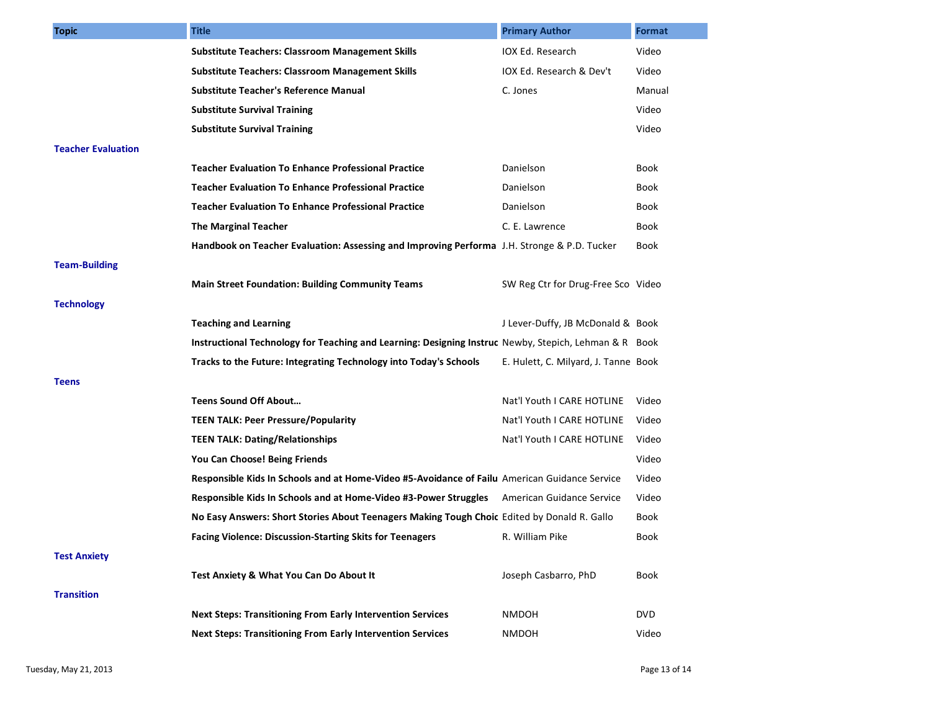| <b>Topic</b>              | <b>Title</b>                                                                                          | <b>Primary Author</b>                | Format     |
|---------------------------|-------------------------------------------------------------------------------------------------------|--------------------------------------|------------|
|                           | <b>Substitute Teachers: Classroom Management Skills</b>                                               | IOX Ed. Research                     | Video      |
|                           | Substitute Teachers: Classroom Management Skills                                                      | IOX Ed. Research & Dev't             | Video      |
|                           | <b>Substitute Teacher's Reference Manual</b>                                                          | C. Jones                             | Manual     |
|                           | <b>Substitute Survival Training</b>                                                                   |                                      | Video      |
|                           | <b>Substitute Survival Training</b>                                                                   |                                      | Video      |
| <b>Teacher Evaluation</b> |                                                                                                       |                                      |            |
|                           | <b>Teacher Evaluation To Enhance Professional Practice</b>                                            | Danielson                            | Book       |
|                           | <b>Teacher Evaluation To Enhance Professional Practice</b>                                            | Danielson                            | Book       |
|                           | <b>Teacher Evaluation To Enhance Professional Practice</b>                                            | Danielson                            | Book       |
|                           | <b>The Marginal Teacher</b>                                                                           | C. E. Lawrence                       | Book       |
|                           | Handbook on Teacher Evaluation: Assessing and Improving Performa J.H. Stronge & P.D. Tucker           |                                      | Book       |
| <b>Team-Building</b>      |                                                                                                       |                                      |            |
|                           | <b>Main Street Foundation: Building Community Teams</b>                                               | SW Reg Ctr for Drug-Free Sco Video   |            |
| <b>Technology</b>         |                                                                                                       |                                      |            |
|                           | <b>Teaching and Learning</b>                                                                          | J Lever-Duffy, JB McDonald & Book    |            |
|                           | Instructional Technology for Teaching and Learning: Designing Instruc Newby, Stepich, Lehman & R Book |                                      |            |
|                           | Tracks to the Future: Integrating Technology into Today's Schools                                     | E. Hulett, C. Milyard, J. Tanne Book |            |
| <b>Teens</b>              |                                                                                                       |                                      |            |
|                           | Teens Sound Off About                                                                                 | Nat'l Youth I CARE HOTLINE           | Video      |
|                           | <b>TEEN TALK: Peer Pressure/Popularity</b>                                                            | Nat'l Youth I CARE HOTLINE           | Video      |
|                           | <b>TEEN TALK: Dating/Relationships</b>                                                                | Nat'l Youth I CARE HOTLINE           | Video      |
|                           | You Can Choose! Being Friends                                                                         |                                      | Video      |
|                           | Responsible Kids In Schools and at Home-Video #5-Avoidance of Failu American Guidance Service         |                                      | Video      |
|                           | Responsible Kids In Schools and at Home-Video #3-Power Struggles                                      | American Guidance Service            | Video      |
|                           | No Easy Answers: Short Stories About Teenagers Making Tough Choic Edited by Donald R. Gallo           |                                      | Book       |
|                           | <b>Facing Violence: Discussion-Starting Skits for Teenagers</b>                                       | R. William Pike                      | Book       |
| <b>Test Anxiety</b>       |                                                                                                       |                                      |            |
|                           | Test Anxiety & What You Can Do About It                                                               | Joseph Casbarro, PhD                 | Book       |
| <b>Transition</b>         |                                                                                                       |                                      |            |
|                           | <b>Next Steps: Transitioning From Early Intervention Services</b>                                     | <b>NMDOH</b>                         | <b>DVD</b> |
|                           | <b>Next Steps: Transitioning From Early Intervention Services</b>                                     | <b>NMDOH</b>                         | Video      |